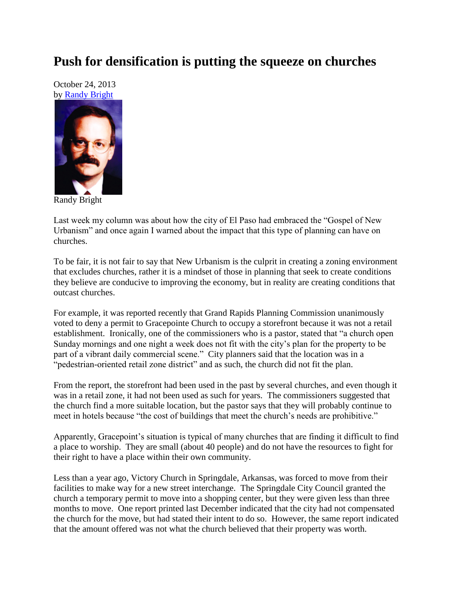## **Push for densification is putting the squeeze on churches**

October 24, 2013 by [Randy Bright](http://tulsabeacon.com/writers/randy-bright/)



Randy Bright

Last week my column was about how the city of El Paso had embraced the "Gospel of New Urbanism" and once again I warned about the impact that this type of planning can have on churches.

To be fair, it is not fair to say that New Urbanism is the culprit in creating a zoning environment that excludes churches, rather it is a mindset of those in planning that seek to create conditions they believe are conducive to improving the economy, but in reality are creating conditions that outcast churches.

For example, it was reported recently that Grand Rapids Planning Commission unanimously voted to deny a permit to Gracepointe Church to occupy a storefront because it was not a retail establishment. Ironically, one of the commissioners who is a pastor, stated that "a church open Sunday mornings and one night a week does not fit with the city's plan for the property to be part of a vibrant daily commercial scene." City planners said that the location was in a "pedestrian-oriented retail zone district" and as such, the church did not fit the plan.

From the report, the storefront had been used in the past by several churches, and even though it was in a retail zone, it had not been used as such for years. The commissioners suggested that the church find a more suitable location, but the pastor says that they will probably continue to meet in hotels because "the cost of buildings that meet the church's needs are prohibitive."

Apparently, Gracepoint's situation is typical of many churches that are finding it difficult to find a place to worship. They are small (about 40 people) and do not have the resources to fight for their right to have a place within their own community.

Less than a year ago, Victory Church in Springdale, Arkansas, was forced to move from their facilities to make way for a new street interchange. The Springdale City Council granted the church a temporary permit to move into a shopping center, but they were given less than three months to move. One report printed last December indicated that the city had not compensated the church for the move, but had stated their intent to do so. However, the same report indicated that the amount offered was not what the church believed that their property was worth.